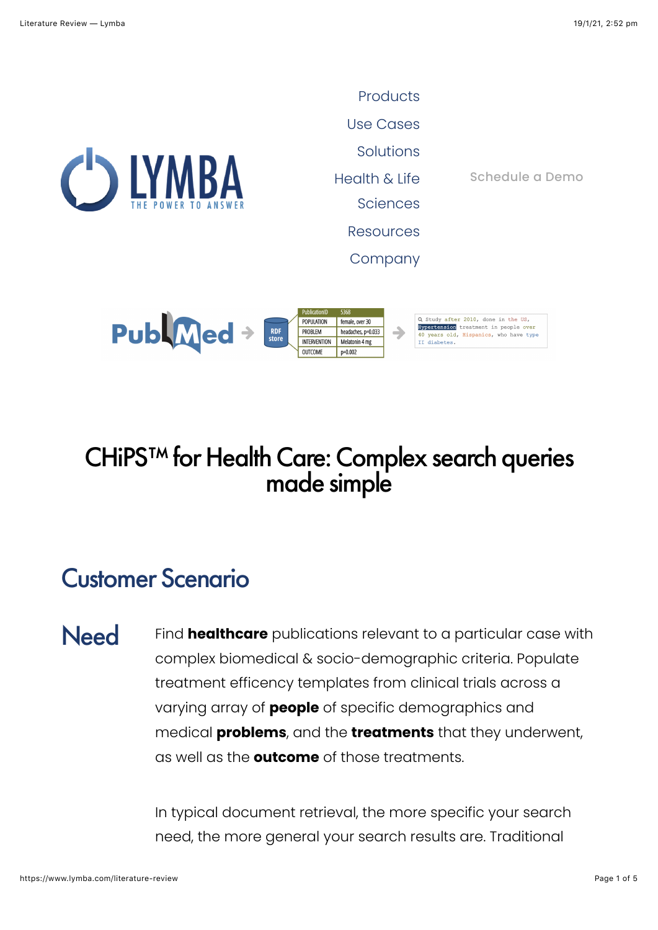

TO ANSWER SCIENCES **[Products](https://www.lymba.com/Products)** [Use Cases](https://www.lymba.com/use-cases) **[Solutions](https://www.lymba.com/solutions)** Health & Life Sciences **[Resources](https://www.lymba.com/new-folder)** [Company](https://www.lymba.com/company)

[Schedule a Demo](https://www.lymba.com/contact)

Q Study after 2010, done in the US, PublMed + POPULATION female, over 30 Hypertension treatment in people over<br>40 years old, Hispanics, who have type RDF<br>store PROBLEM headaches, p=0.033  $\rightarrow$ **INTERVENTION** Melatonin 4 mg II diabetes. OUTCOME  $p=0.002$ 

# CHiPS™ for Health Care: Complex search queries made simple

### Customer Scenario

Need Find **healthcare** publications relevant to a particular case with complex biomedical & socio-demographic criteria. Populate treatment efficency templates from clinical trials across a varying array of **people** of specific demographics and medical **problems**, and the **treatments** that they underwent, as well as the **outcome** of those treatments.

> In typical document retrieval, the more specific your search need, the more general your search results are. Traditional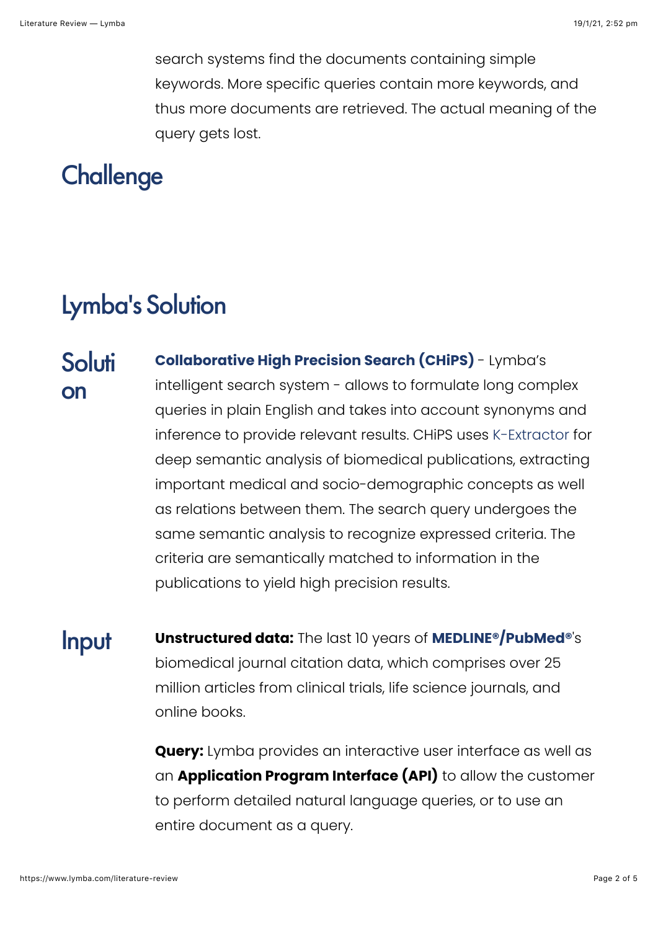search systems find the documents containing simple keywords. More specific queries contain more keywords, and thus more documents are retrieved. The actual meaning of the query gets lost.

## **Challenge**

# Lymba's Solution

- **Soluti** on **[Collaborative High Precision Search \(CHiPS\)](https://www.lymba.com/chips)** - Lymba's intelligent search system - allows to formulate long complex queries in plain English and takes into account synonyms and inference to provide relevant results. CHiPS uses [K-Extractor](https://www.lymba.com/knowledge-extraction) for deep semantic analysis of biomedical publications, extracting important medical and socio-demographic concepts as well as relations between them. The search query undergoes the same semantic analysis to recognize expressed criteria. The criteria are semantically matched to information in the publications to yield high precision results.
- Input **Unstructured data:** The last 10 years of **[MEDLINE®/PubMed®](https://www.nlm.nih.gov/databases/journal.html)**'s biomedical journal citation data, which comprises over 25 million articles from clinical trials, life science journals, and online books.

**Query:** Lymba provides an interactive user interface as well as an **Application Program Interface (API)** to allow the customer to perform detailed natural language queries, or to use an entire document as a query.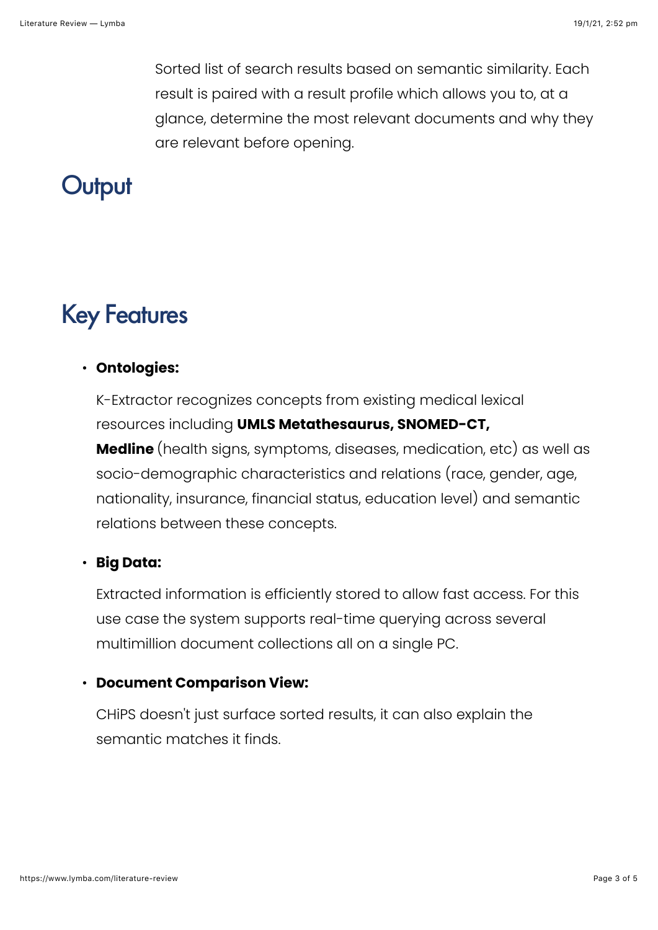Sorted list of search results based on semantic similarity. Each result is paired with a result profile which allows you to, at a glance, determine the most relevant documents and why they are relevant before opening.

## **Output**

## Key Features

#### • **Ontologies:**

K-Extractor recognizes concepts from existing medical lexical resources including **UMLS Metathesaurus, SNOMED-CT, Medline** (health signs, symptoms, diseases, medication, etc) as well as socio-demographic characteristics and relations (race, gender, age, nationality, insurance, financial status, education level) and semantic relations between these concepts.

#### • **Big Data:**

Extracted information is efficiently stored to allow fast access. For this use case the system supports real-time querying across several multimillion document collections all on a single PC.

#### • **Document Comparison View:**

CHiPS doesn't just surface sorted results, it can also explain the semantic matches it finds.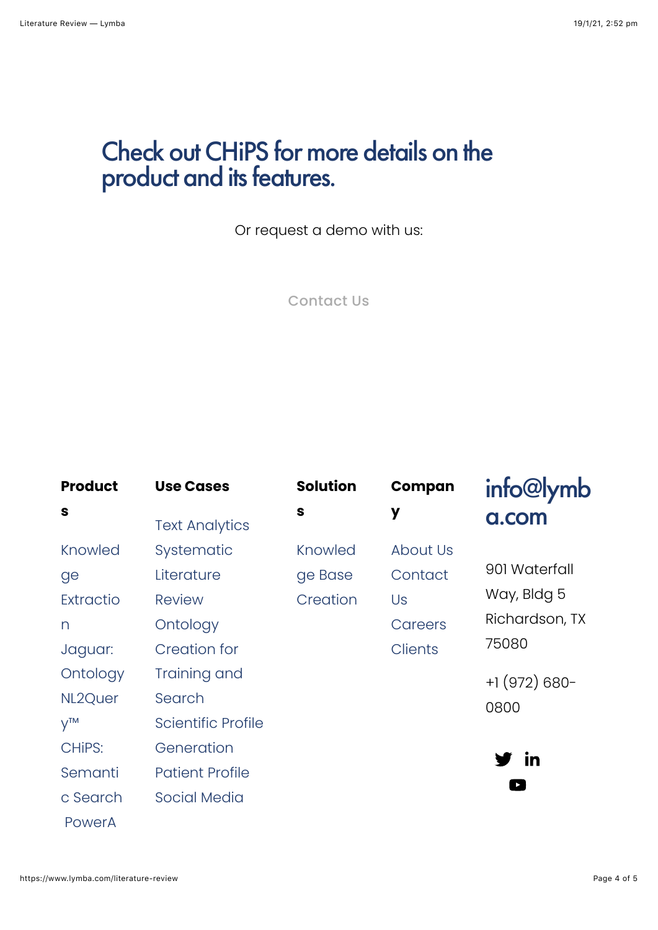# Check out [CHiPS](https://www.lymba.com/chips) for more details on the product and its features.

Or request a demo with us:

[Contact Us](https://www.lymba.com/contact)

| <b>Product</b> | <b>Use Cases</b>       | <b>Solution</b> | Compan         | info@lymb      |
|----------------|------------------------|-----------------|----------------|----------------|
| S              | <b>Text Analytics</b>  | S               | y              | a.com          |
| Knowled        | Systematic             | Knowled         | About Us       |                |
| ge             | Literature             | ge Base         | Contact        | 901 Waterfall  |
| Extractio      | <b>Review</b>          | Creation        | Us             | Way, Bldg 5    |
| n              | Ontology               |                 | Careers        | Richardson, TX |
| Jaguar:        | <b>Creation for</b>    |                 | <b>Clients</b> | 75080          |
| Ontology       | Training and           |                 |                | $+1(972)680-$  |
| NL2Quer        | Search                 |                 |                | 0800           |
| $V^{TM}$       | Scientific Profile     |                 |                |                |
| CHIPS:         | Generation             |                 |                | / in           |
| Semanti        | <b>Patient Profile</b> |                 |                |                |
| c Search       | Social Media           |                 |                |                |

[PowerA](https://www.lymba.com/power-agent)